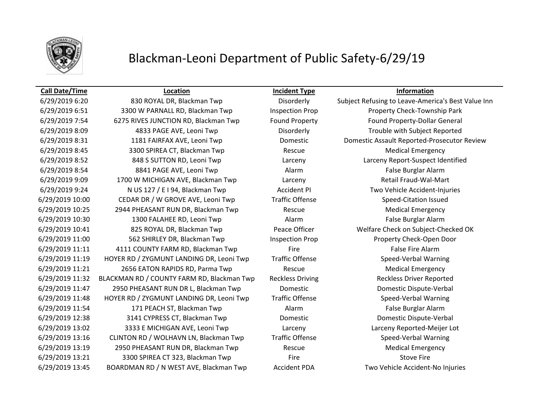

## Blackman-Leoni Department of Public Safety-6/29/19

### **Call Date/Time Location Incident Type Information**

6/29/2019 6:51 3300 W PARNALL RD, Blackman Twp Inspection Prop Property Check-Township Park 6/29/2019 7:54 6275 RIVES JUNCTION RD, Blackman Twp Found Property Found Property-Dollar General 6/29/2019 8:09 4833 PAGE AVE, Leoni Twp Disorderly Trouble with Subject Reported 6/29/2019 8:31 1181 FAIRFAX AVE, Leoni Twp Domestic Domestic Assault Reported-Prosecutor Review 6/29/2019 8:45 3300 SPIREA CT, Blackman Twp Rescue Rescue Medical Emergency 6/29/2019 8:52 848 S SUTTON RD, Leoni Twp Larceny Larceny Report-Suspect Identified 6/29/2019 8:54 8841 PAGE AVE, Leoni Twp Alarm False Burglar Alarm 6/29/2019 9:09 1700 W MICHIGAN AVE, Blackman Twp Larceny Retail Fraud-Wal-Mart 6/29/2019 9:24 N US 127 / E I 94, Blackman Twp Accident PI Two Vehicle Accident-Injuries 6/29/2019 10:00 CEDAR DR / W GROVE AVE, Leoni Twp Traffic Offense Speed-Citation Issued 6/29/2019 10:25 2944 PHEASANT RUN DR, Blackman Twp Rescue Medical Emergency 6/29/2019 10:30 1300 FALAHEE RD, Leoni Twp Alarm False Burglar Alarm 6/29/2019 10:41 825 ROYAL DR, Blackman Twp Peace Officer Welfare Check on Subject-Checked OK 6/29/2019 11:00 562 SHIRLEY DR, Blackman Twp Inspection Prop Property Check-Open Door 6/29/2019 11:11 4111 COUNTY FARM RD, Blackman Twp Fire Fire Fire False Fire Alarm 6/29/2019 11:19 HOYER RD / ZYGMUNT LANDING DR, Leoni Twp Traffic Offense Speed-Verbal Warning 6/29/2019 11:21 2656 EATON RAPIDS RD, Parma Twp Rescue Rescue Medical Emergency 6/29/2019 11:32 BLACKMAN RD / COUNTY FARM RD, Blackman Twp Reckless Driving Reckless Driver Reported 6/29/2019 11:47 2950 PHEASANT RUN DR L, Blackman Twp Domestic Domestic Dispute-Verbal 6/29/2019 11:48 HOYER RD / ZYGMUNT LANDING DR, Leoni Twp Traffic Offense Speed-Verbal Warning 6/29/2019 11:54 **171 PEACH ST, Blackman Twp Alarm** Alarm **False Burglar Alarm** False Burglar Alarm 6/29/2019 12:38 3141 CYPRESS CT, Blackman Twp Domestic Domestic Dispute-Verbal 6/29/2019 13:02 3333 E MICHIGAN AVE, Leoni Twp Larceny Larceny Reported-Meijer Lot 6/29/2019 13:16 CLINTON RD / WOLHAVN LN, Blackman Twp Traffic Offense Speed-Verbal Warning 6/29/2019 13:19 2950 PHEASANT RUN DR, Blackman Twp Rescue Medical Emergency 6/29/2019 13:21 3300 SPIREA CT 323, Blackman Twp Fire Fire Stove Fire Stove Fire 6/29/2019 13:45 BOARDMAN RD / N WEST AVE, Blackman Twp Accident PDA Two Vehicle Accident-No Injuries

6/29/2019 6:20 830 ROYAL DR, Blackman Twp Disorderly Subject Refusing to Leave-America's Best Value Inn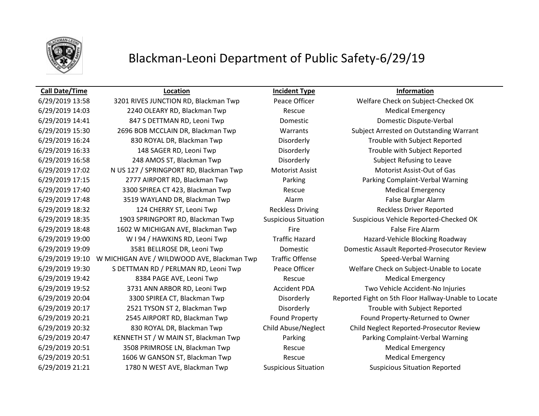

# Blackman-Leoni Department of Public Safety-6/29/19

## **Call Date/Time Location Incident Type Information**

6/29/2019 14:03 2240 OLEARY RD, Blackman Twp Rescue Medical Emergency 6/29/2019 14:41 847 S DETTMAN RD, Leoni Twp Domestic Domestic Dispute-Verbal 6/29/2019 16:24 830 ROYAL DR, Blackman Twp Disorderly Trouble with Subject Reported 6/29/2019 16:33 148 SAGER RD, Leoni Twp Disorderly Trouble with Subject Reported 6/29/2019 16:58 248 AMOS ST, Blackman Twp Disorderly Subject Refusing to Leave 6/29/2019 17:02 N US 127 / SPRINGPORT RD, Blackman Twp Motorist Assist Motorist Assist-Out of Gas 6/29/2019 17:15 2777 AIRPORT RD, Blackman Twp Parking Parking Complaint-Verbal Warning 6/29/2019 17:40 3300 SPIREA CT 423, Blackman Twp Rescue Medical Emergency 6/29/2019 17:48 3519 WAYLAND DR, Blackman Twp Alarm Alarm False Burglar Alarm 6/29/2019 18:32 124 CHERRY ST, Leoni Twp Reckless Driving Reckless Driver Reported 6/29/2019 18:48 1602 W MICHIGAN AVE, Blackman Twp Fire Fire Fire False Fire Alarm 6/29/2019 19:00 W I 94 / HAWKINS RD, Leoni Twp Traffic Hazard Hazard-Vehicle Blocking Roadway 6/29/2019 19:10 W MICHIGAN AVE / WILDWOOD AVE, Blackman Twp Traffic Offense Speed-Verbal Warning 6/29/2019 19:42 **8384 PAGE AVE, Leoni Twp** Rescue Rescue Medical Emergency 6/29/2019 19:52 3731 ANN ARBOR RD, Leoni Twp Accident PDA Two Vehicle Accident-No Injuries 6/29/2019 20:17 2521 TYSON ST 2, Blackman Twp Disorderly Trouble with Subject Reported 6/29/2019 20:21 2545 AIRPORT RD, Blackman Twp Found Property Found Property-Returned to Owner 6/29/2019 20:47 KENNETH ST / W MAIN ST, Blackman Twp Parking Parking Parking Complaint-Verbal Warning 6/29/2019 20:51 3508 PRIMROSE LN, Blackman Twp Rescue Rescue Medical Emergency 6/29/2019 20:51 1606 W GANSON ST, Blackman Twp Rescue Rescue Medical Emergency 6/29/2019 21:21 1780 N WEST AVE, Blackman Twp Suspicious Situation Suspicious Situation Reported

6/29/2019 13:58 3201 RIVES JUNCTION RD, Blackman Twp Peace Officer Welfare Check on Subject-Checked OK 6/29/2019 15:30 2696 BOB MCCLAIN DR, Blackman Twp Warrants Subject Arrested on Outstanding Warrant 6/29/2019 18:35 1903 SPRINGPORT RD, Blackman Twp Suspicious Situation Suspicious Vehicle Reported-Checked OK 6/29/2019 19:09 3581 BELLROSE DR, Leoni Twp Domestic Domestic Assault Reported-Prosecutor Review 6/29/2019 19:30 S DETTMAN RD / PERLMAN RD, Leoni Twp Peace Officer Welfare Check on Subject-Unable to Locate 6/29/2019 20:04 3300 SPIREA CT, Blackman Twp Disorderly Reported Fight on 5th Floor Hallway-Unable to Locate 6/29/2019 20:32 830 ROYAL DR, Blackman Twp Child Abuse/Neglect Child Neglect Reported-Prosecutor Review